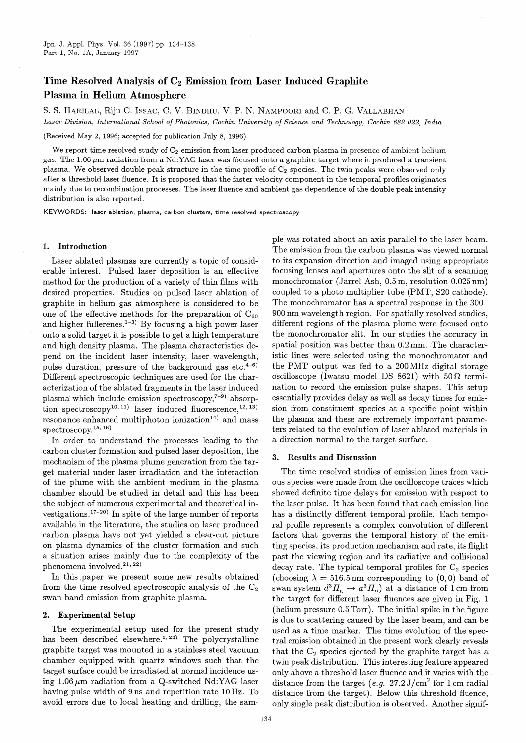# Time Resolved Analysis of  $C_2$  Emission from Laser Induced Graphite Plasma in Helium Atmosphere

S. S. HARILAL, Riju C. Issxc, C. V. BINDHU, V. P. N. NAMPOORI and C. P. G. VALLABHAN

*Laser Division, International School of Photonics, Cochin University of Science and Technology, Cochin* 682 *022, India*

(Received May 2, 1996; accepted for publication July 8, 1996)

We report time resolved study of  $C_2$  emission from laser produced carbon plasma in presence of ambient helium gas. The 1.06  $\mu$ m radiation from a Nd:YAG laser was focused onto a graphite target where it produced a transient plasma. We observed double peak structure in the time profile of C<sub>2</sub> species. The twin peaks were observed only after a threshold laser fluence. It is proposed that the faster velocity component in the temporal profiles originates mainly due to recombination processes. The laser fluence and ambient gas dependence of the double peak intensity distribution is also reported.

KEYWORDS: laser ablation, plasma, carbon clusters, time resolved spectroscopy

## 1. Introduction

Laser ablated plasmas are currently a topic of considerable interest. Pulsed laser deposition is an effective method for the production of a variety of thin films with desired properties. Studies on pulsed laser ablation of graphite in helium gas atmosphere is considered to be one of the effective methods for the preparation of  $C_{60}$ and higher fullerenes.<sup>1-3)</sup> By focusing a high power laser onto a solid target it is possible to get a high temperature and high density plasma. The plasma characteristics depend on the incident laser intensity, laser wavelength, pulse duration, pressure of the background gas etc. $4-6$ ) Different spectroscopic techniques are used for the characterization of the ablated fragments in the laser induced plasma which include emission spectroscopy, $7-9$  absorption spectroscopy<sup>10, 11</sup>) laser induced fluorescence,  $(12, 13)$ resonance enhanced multiphoton ionization<sup>14)</sup> and mass  $spectroscopy.$ <sup>15, 16</sup>)

In order to understand the processes leading to the carbon cluster formation and pulsed laser deposition, the mechanism of the plasma plume generation from the target material under laser irradiation and the interaction of the plume with the ambient medium in the plasma chamber should be studied in detail and this has been the subject of numerous experimental and theoretical investigations.<sup>17-20)</sup> In spite of the large number of reports available in the literature, the studies on laser produced carbon plasma have not yet yielded a clear-cut picture on plasma dynamics of the cluster formation and such a .situation arises mainly due to the complexity of the phenomena involved.<sup>21, 22)</sup>

In this paper we present some new results obtained from the time resolved spectroscopic analysis of the  $C_2$ swan band emission from graphite plasma.

#### 2. Experimental Setup

The experimental setup used for the present study has been described elsewhere.<sup>5, 23)</sup> The polycrystalline graphite target was mounted in a stainless steel vacuum chamber equipped with quartz windows such that the target surface could be irradiated at normal incidence using 1.06  $\mu$ m radiation from a Q-switched Nd:YAG laser having pulse width of 9 ns and repetition rate 10 Hz. To avoid errors due to local heating and drilling, the sample was rotated about an axis parallel to the laser beam. The emission from the carbon plasma was viewed normal to its expansion direction and imaged using appropriate focusing lenses and apertures onto the slit of a scanning monochromator (Jarrel Ash, 0.5 m, resolution 0.025 nm) coupled to a photo multiplier tube (PMT, S20 cathode). The monochromator has a spectral response in the 300- 900 nm wavelength region. For spatially resolved studies, different regions of the plasma plume were focused onto the monochromator slit. In our studies the accuracy in spatial position was better than 0.2 mm. The characteristic lines were selected using the monochromator and the PMT output was fed to a 200 MHz digital storage oscilloscope (Iwatsu model DS 8621) with  $50 \Omega$  termination to record the emission pulse shapes. This setup essentially provides delay as well as decay times for emission from constituent species at a specific point within the plasma and these are extremely important parameters related to the evolution of laser ablated materials in a direction normal to the target surface.

#### 3. Results and Discussion

The time resolved studies of emission lines from various species were made from the oscilloscope traces which showed definite time delays for emission with respect to the laser pulse. It has been found that each emission line has a distinctly different temporal profile. Each temporal profile represents a complex convolution of different factors that governs the temporal history of the emitting species, its production mechanism and rate, its flight past the viewing region and its radiative and collisional decay rate. The typical temporal profiles for  $C_2$  species (choosing  $\lambda = 516.5$  nm corresponding to (0,0) band of swan system  $d^3 H_g \to a^3 H_u$  at a distance of 1 cm from the target for different laser fluences are given in Fig. 1 (helium pressure 0.5 Torr). The initial spike in the figure is due to scattering caused by the laser beam, and can be used as a time marker. The time evolution of the spectral emission obtained in the present work clearly reveals that the  $C_2$  species ejected by the graphite target has a twin peak distribution. This interesting feature appeared only above a threshold laser fluence and it varies with the. distance from the target  $(e.g. 27.2 \text{ J/cm}^2 \text{ for } 1 \text{ cm } \text{radial})$ distance from the target). Below this threshold fluence, only single peak distribution is observed. Another signif-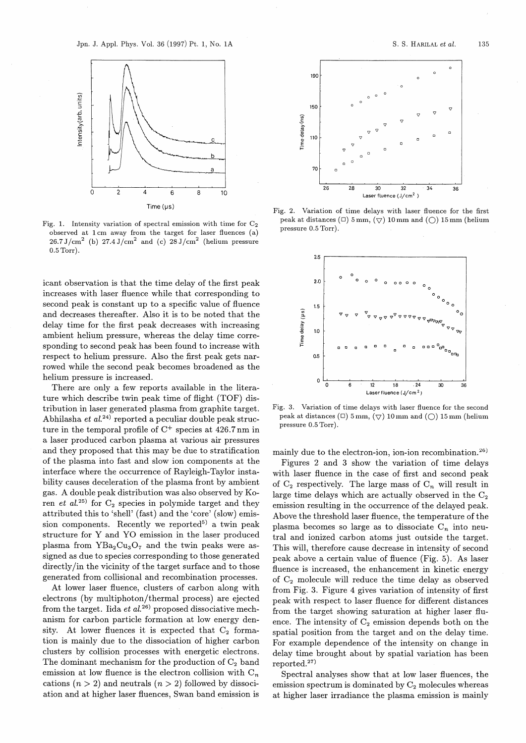

Fig. 1. Intensity variation of spectral emission with time for  $C_2$ observed at 1 cm away from the target for laser fluences (a)  $26.7 \text{ J/cm}^2$  (b)  $27.4 \text{ J/cm}^2$  and (c)  $28 \text{ J/cm}^2$  (helium pressure 0.5 Torr).

icant observation is that the time delay of the first peak increases with laser fluence while that corresponding to second peak is constant up to a specific value of fluence and decreases thereafter. Also it is to be noted that the delay time for the first peak decreases with increasing ambient helium pressure, whereas the delay time corresponding to second peak has been found to increase with respect to helium pressure. Also the first peak gets narrowed while the second peak becomes broadened as the helium pressure is increased.

There are only a few reports available in the literature which describe twin peak time of flight (TOF) distribution in laser generated plasma from graphite target. Abhilasha *et al.*<sup>24)</sup> reported a peculiar double peak structure in the temporal profile of  $C^+$  species at 426.7 nm in a laser produced carbon plasma at various air pressures and they proposed that this may be due to stratification of the plasma into fast and slow ion components at the interface where the occurrence of Rayleigh-Taylor instability causes deceleration of the plasma front by ambient gas. A double peak distribution was also observed by Koren *et al.*<sup>25)</sup> for  $C_2$  species in polymide target and they attributed this to 'shell' (fast) and the 'core' (slow) emission components. Recently we reported<sup>5)</sup> a twin peak structure for Y and YO emission in the laser produced plasma from  $YBa<sub>2</sub>Cu<sub>3</sub>O<sub>7</sub>$  and the twin peaks were assigned as due to species corresponding to those generated directly/in the vicinity of the target surface and to those generated from collisional and recombination processes.

At lower laser fluence, clusters of carbon along with electrons (by multiphoton/thermal process) are ejected from the target. Iida *et al.*<sup>26</sup> proposed dissociative mechanism for carbon particle formation at low energy density. At lower fluences it is expected that  $C_2$  formation is mainly due to the dissociation of higher carbon clusters by collision processes with energetic electrons. The dominant mechanism for the production of  $C_2$  band emission at low fluence is the electron collision with  $C_n$ cations  $(n > 2)$  and neutrals  $(n > 2)$  followed by dissociation and at higher laser fluences, Swan band emission is



Fig. 2. Variation of time delays with laser fluence for the first peak at distances ( $\Box$ ) 5 mm, ( $\bigtriangledown$ ) 10 mm and ( $\bigcirc$ ) 15 mm (helium pressure 0.5 Torr).



Fig. 3. Variation of time delays with laser fluence for the second peak at distances ( $\Box$ ) 5 mm, ( $\bigtriangledown$ ) 10 mm and ( $\bigcirc$ ) 15 mm (helium pressure 0.5 Torr).

mainly due to the electron-ion, ion-ion recombination.<sup>26)</sup>

Figures 2 and 3 show the variation of time delays with laser fluence in the case of first and second peak of  $C_2$  respectively. The large mass of  $C_n$  will result in large time delays which are actually observed in the  $C_2$ emission resulting in the occurrence of the delayed peak. Above the threshold laser fluence, the temperature of the plasma becomes so large as to dissociate  $C_n$  into neutral and ionized carbon atoms just outside the target. This will, therefore cause decrease in intensity of second peak above a certain value of fluence (Fig. 5). As laser fluence is increased, the enhancement in kinetic energy of  $C_2$  molecule will reduce the time delay as observed from Fig. 3. Figure 4 gives variation of intensity of first peak with respect to laser fluence for different distances from the target showing saturation at higher laser fluence. The intensity of  $C_2$  emission depends both on the spatial position from the target and on the delay time. For example dependence of the intensity on change in delay time brought about by spatial variation has been reported.<sup>27)</sup>

Spectral analyses show that at low laser fluences, the emission spectrum is dominated by  $C_2$  molecules whereas at higher laser irradiance the plasma emission is mainly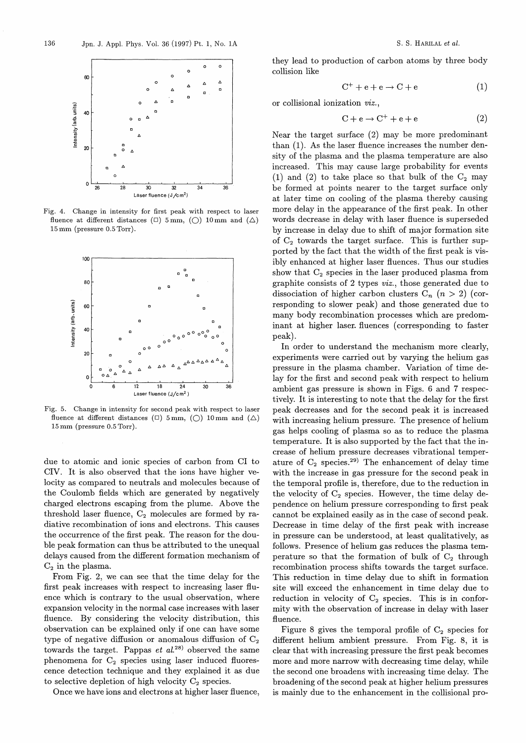

Fig. 4. Change in intensity for first peak with respect to laser fluence at different distances ( $\Box$ ) 5 mm, ( $\bigcirc$ ) 10 mm and ( $\Delta$ ) 15 mm (pressure 0.5 Torr).



Fig. 5. Change in intensity for second peak with respect to laser fluence at different distances ( $\Box$ ) 5mm, ( $\bigcirc$ ) 10mm and ( $\triangle$ ) 15 mm (pressure 0.5 Torr).

due to atomic and ionic species of carbon from Cl to CIV. It is also observed that the ions have higher velocity as compared to neutrals and molecules because of the Coulomb fields which are generated by negatively charged electrons escaping from the plume. Above the threshold laser fluence,  $C_2$  molecules are formed by radiative recombination of ions and electrons. This causes the occurrence of the first peak. The reason for the double peak formation can thus be attributed to the unequal delays caused from the different formation mechanism of  $C_2$  in the plasma.

From Fig. 2, we can see that the time delay for the first peak increases with respect to increasing laser fluence which is contrary to the usual observation, where expansion velocity in the normal case increases with laser fluence. By considering the velocity distribution, this observation can be explained only if one can have some type of negative diffusion or anomalous diffusion of  $C_2$ towards the target. Pappas *et al.*<sup>28</sup> observed the same phenomena for  $C_2$  species using laser induced fluorescence detection technique and they explained it as due to selective depletion of high velocity  $C_2$  species.

Once we have ions and electrons at higher laser fluence,

they lead to production of carbon atoms by three body collision like

$$
C^+ + e + e \rightarrow C + e \tag{1}
$$

or collisional ionization *viz.,*

$$
C + e \rightarrow C^+ + e + e \tag{2}
$$

Near the target surface (2) may be more predominant than (1). As the laser fluence increases the number density of the plasma and the plasma temperature are also increased. This may cause large probability for events (1) and (2) to take place so that bulk of the  $C_2$  may be formed at points nearer to the target surface only at later time on cooling of the plasma thereby causing more delay in the appearance of the first peak. In other words decrease in delay with laser fluence is superseded by increase in delay due to shift of major formation site of  $C_2$  towards the target surface. This is further supported by the fact that the width of the first peak is visibly enhanced at higher laser fluences. Thus our studies show that  $C_2$  species in the laser produced plasma from graphite consists of 2 types *uiz.,* those generated due to dissociation of higher carbon clusters  $C_n$   $(n > 2)$  (corresponding to slower peak) and those generated due to many body recombination processes which are predominant at higher laser. fluences (corresponding to faster peak).

In order to understand the mechanism more clearly, experiments were carried out by varying the helium gas pressure in the plasma chamber. Variation of time delay for the first and second peak with respect to helium ambient gas pressure is shown in Figs. 6 and 7 respectively. It is interesting to note that the delay for the first peak decreases and for the second peak it is increased with increasing helium pressure. The presence of helium gas helps cooling of plasma so as to reduce the plasma temperature. It is also supported by the fact that the increase of helium pressure decreases vibrational temperature of  $C_2$  species.<sup>29)</sup> The enhancement of delay time with the increase in gas pressure for the second peak in the temporal profile is, therefore, due to the reduction in the velocity of  $C_2$  species. However, the time delay dependence on helium pressure corresponding to first peak cannot be explained easily as in the case of second peak. Decrease in time delay of the first peak with increase in pressure can be understood, at least qualitatively, as follows. Presence of helium gas reduces the plasma temperature so that the formation of bulk of  $C_2$  through recombination process shifts towards the target surface. This reduction in time delay due to shift in formation site will exceed the enhancement in time delay due to reduction in velocity of  $C_2$  species. This is in conformity with the observation of increase in delay with laser fluence.

Figure 8 gives the temporal profile of  $C_2$  species for different helium ambient pressure. From Fig. 8, it is clear that with increasing pressure the first peak becomes more and more narrow with decreasing time delay, while the second one broadens with increasing time delay. The broadening of the second peak at higher helium pressures is mainly due to the enhancement in the collisional pro-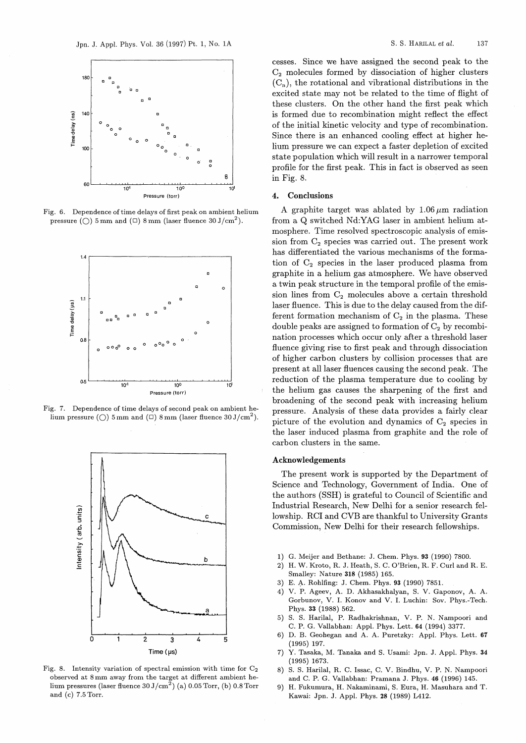

Fig. 6. Dependence of time delays of first peak on ambient helium pressure ( $\bigcirc$ ) 5 mm and ( $\Box$ ) 8 mm (laser fluence 30 J/cm<sup>2</sup>).



Fig. 7. Dependence of time delays of second peak on ambient helium pressure (O) 5 mm and ( $\Box$ ) 8 mm (laser fluence 30 J/cm<sup>2</sup>).



Fig. 8. Intensity variation of spectral emission with time for  $C_2$ observed at 8 mm away from the target at different ambient helium pressures (laser fluence  $30 \text{ J/cm}^2$ ) (a) 0.05 Torr, (b) 0.8 Torr and (c) 7.5 Torr.

cesses. Since we have assigned the second peak to the  $C<sub>2</sub>$  molecules formed by dissociation of higher clusters  $(C_n)$ , the rotational and vibrational distributions in the excited state may not be related to the time of flight of these clusters. On the other hand the first peak which is formed due to recombination might reflect the effect' of the initial kinetic velocity and type of recombination. Since there is an enhanced cooling effect at higher helium pressure we can expect a faster depletion of excited state population which will result in a narrower temporal profile for the first peak. This in fact is observed as seen in Fig. 8.

### 4. Conclusions

A graphite target was ablated by  $1.06 \mu m$  radiation from a Q switched Nd:YAG laser in ambient helium atmosphere. Time resolved spectroscopic analysis of emission from  $C_2$  species was carried out. The present work has differentiated the various mechanisms of the formation of  $C_2$  species in the laser produced plasma from graphite in a helium gas atmosphere. We have observed a twin peak structure in the temporal profile of the emission lines from  $C_2$  molecules above a certain threshold laser fluence. This is due to the delay caused from the different formation mechanism of  $C_2$  in the plasma. These double peaks are assigned to formation of  $C_2$  by recombination processes which occur only after a threshold laser fluence giving rise to first peak and through dissociation of higher carbon clusters by collision processes that are present at all laser fluences causing the second peak. The reduction of the plasma temperature due to cooling by the helium gas causes the sharpening of the first and broadening of the second peak with increasing helium pressure. Analysis of these data provides a fairly clear picture of the evolution and dynamics of  $C_2$  species in the laser induced plasma from graphite and the role of carbon clusters in the same.

#### Acknowledgements

The present work is supported by the Department of Science and Technology, Government of India. One of the authors (SSH) is grateful to Council of Scientific and Industrial Research, New Delhi for a senior research fellowship. RCI and CVB are thankful to University Grants Commission, New Delhi for their research fellowships.

- 1) G. Meijer and Bethane: J. Chem. Phys. 93 (1990) 7800.
- 2) H. W. Kroto, R. J. Heath, S. C. O'Brien, R. F. Curl and R. E. Smalley: Nature 318 (1985) 165.
- 3) E. 4. Rohlfing: J. Chem. Phys. 93 (1990) 7851.
- 4) V. P. Ageev, A. D. Akhasakhalyan, S. V. Gaponov, A. A. Gorbunov, V. 1. Konov and V. 1. Luchin: Sov. Phys.-Tech. Phys. 33 (1988) 562.
- 5) S. S. Harilal, P. Radhakrishnan, V. P. N. Nampoori and C. P. G. Vallabhan: Appl. Phys. Lett. 64 (1994) 3377.
- 6) D. B. Geohegan and A. A. Puretzky: Appl. Phys. Lett. 67 (1995) 197.
- 7) Y. Tasaka, M. Tanaka and S. Usami: Jpn. J. Appl. Phys. 34 (1995) 1673.
- 8) S. S. Harilal, R. C. Issac, C. V. Bindhu, V. P. N. Nampoori and C. P. G. Vallabhan: Pramana J. Phys. 46 (1996) 145.
- 9) H. Fukumura, H. Nakaminami, S. Eura, H. Masuhara and T. Kawai: Jpn. J. Appl. Phys. 28 (1989) L412.